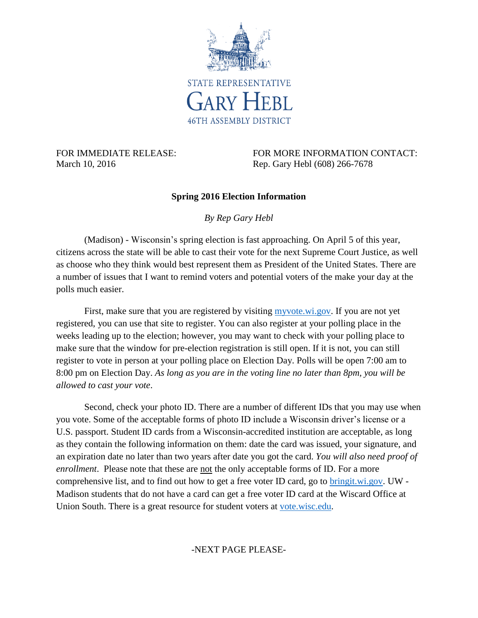

March 10, 2016 Rep. Gary Hebl (608) 266-7678

FOR IMMEDIATE RELEASE: FOR MORE INFORMATION CONTACT:

## **Spring 2016 Election Information**

*By Rep Gary Hebl*

(Madison) - Wisconsin's spring election is fast approaching. On April 5 of this year, citizens across the state will be able to cast their vote for the next Supreme Court Justice, as well as choose who they think would best represent them as President of the United States. There are a number of issues that I want to remind voters and potential voters of the make your day at the polls much easier.

First, make sure that you are registered by visiting [myvote.wi.gov.](https://myvote.wi.gov/) If you are not yet registered, you can use that site to register. You can also register at your polling place in the weeks leading up to the election; however, you may want to check with your polling place to make sure that the window for pre-election registration is still open. If it is not, you can still register to vote in person at your polling place on Election Day. Polls will be open 7:00 am to 8:00 pm on Election Day. *As long as you are in the voting line no later than 8pm, you will be allowed to cast your vote*.

Second, check your photo ID. There are a number of different IDs that you may use when you vote. Some of the acceptable forms of photo ID include a Wisconsin driver's license or a U.S. passport. Student ID cards from a Wisconsin-accredited institution are acceptable, as long as they contain the following information on them: date the card was issued, your signature, and an expiration date no later than two years after date you got the card. *You will also need proof of enrollment*. Please note that these are not the only acceptable forms of ID. For a more comprehensive list, and to find out how to get a free voter ID card, go to [bringit.wi.gov.](http://bringit.wi.gov/) UW - Madison students that do not have a card can get a free voter ID card at the Wiscard Office at Union South. There is a great resource for student voters at [vote.wisc.edu.](file://///FS1/ASM46$/Gary_Hebl/00-PRESS/Informational%20Columns/2016/vote.wisc.edu)

-NEXT PAGE PLEASE-